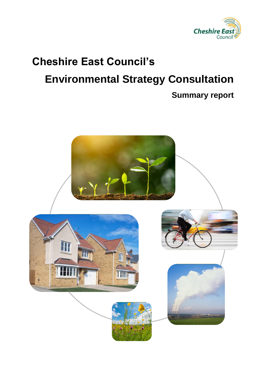

# **Cheshire East Council's Environmental Strategy Consultation**

#### **Summary report**

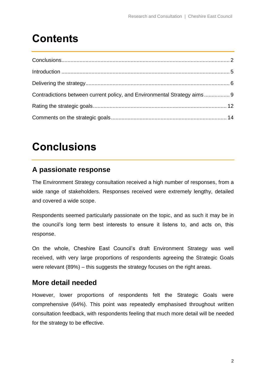### **Contents**

| Contradictions between current policy, and Environmental Strategy aims 9 |  |
|--------------------------------------------------------------------------|--|
|                                                                          |  |
|                                                                          |  |

### <span id="page-1-0"></span>**Conclusions**

#### **A passionate response**

The Environment Strategy consultation received a high number of responses, from a wide range of stakeholders. Responses received were extremely lengthy, detailed and covered a wide scope.

Respondents seemed particularly passionate on the topic, and as such it may be in the council's long term best interests to ensure it listens to, and acts on, this response.

On the whole, Cheshire East Council's draft Environment Strategy was well received, with very large proportions of respondents agreeing the Strategic Goals were relevant (89%) – this suggests the strategy focuses on the right areas.

#### **More detail needed**

However, lower proportions of respondents felt the Strategic Goals were comprehensive (64%). This point was repeatedly emphasised throughout written consultation feedback, with respondents feeling that much more detail will be needed for the strategy to be effective.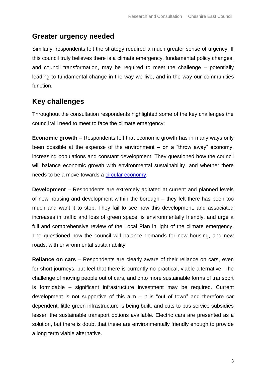#### **Greater urgency needed**

Similarly, respondents felt the strategy required a much greater sense of urgency. If this council truly believes there is a climate emergency, fundamental policy changes, and council transformation, may be required to meet the challenge – potentially leading to fundamental change in the way we live, and in the way our communities function.

#### **Key challenges**

Throughout the consultation respondents highlighted some of the key challenges the council will need to meet to face the climate emergency:

**Economic growth** – Respondents felt that economic growth has in many ways only been possible at the expense of the environment – on a "throw away" economy, increasing populations and constant development. They questioned how the council will balance economic growth with environmental sustainability, and whether there needs to be a move towards a [circular economy.](https://en.wikipedia.org/wiki/Circular_economy)

**Development** – Respondents are extremely agitated at current and planned levels of new housing and development within the borough – they felt there has been too much and want it to stop. They fail to see how this development, and associated increases in traffic and loss of green space, is environmentally friendly, and urge a full and comprehensive review of the Local Plan in light of the climate emergency. The questioned how the council will balance demands for new housing, and new roads, with environmental sustainability.

**Reliance on cars** – Respondents are clearly aware of their reliance on cars, even for short journeys, but feel that there is currently no practical, viable alternative. The challenge of moving people out of cars, and onto more sustainable forms of transport is formidable – significant infrastructure investment may be required. Current development is not supportive of this aim – it is "out of town" and therefore car dependent, little green infrastructure is being built, and cuts to bus service subsidies lessen the sustainable transport options available. Electric cars are presented as a solution, but there is doubt that these are environmentally friendly enough to provide a long term viable alternative.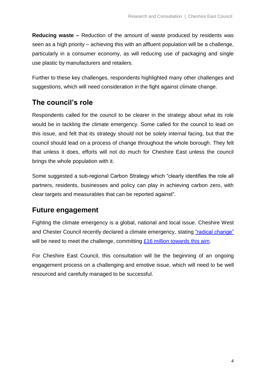**Reducing waste –** Reduction of the amount of waste produced by residents was seen as a high priority – achieving this with an affluent population will be a challenge, particularly in a consumer economy, as will reducing use of packaging and single use plastic by manufacturers and retailers.

Further to these key challenges, respondents highlighted many other challenges and suggestions, which will need consideration in the fight against climate change.

#### **The council's role**

Respondents called for the council to be clearer in the strategy about what its role would be in tackling the climate emergency. Some called for the council to lead on this issue, and felt that its strategy should not be solely internal facing, but that the council should lead on a process of change throughout the whole borough. They felt that unless it does, efforts will not do much for Cheshire East unless the council brings the whole population with it.

Some suggested a sub-regional Carbon Strategy which "clearly identifies the role all partners, residents, businesses and policy can play in achieving carbon zero, with clear targets and measurables that can be reported against".

#### **Future engagement**

Fighting the climate emergency is a global, national and local issue. Cheshire West and Chester Council recently declared a climate emergency, stating ["radical change"](https://www.northwichguardian.co.uk/news/18160193.cheshire-west-aim-carbon-free-2045-needs-radical-change/) will be need to meet the challenge, committing [£16 million towards this aim.](https://www.cheshire-live.co.uk/news/chester-cheshire-news/cheshire-west-council-commits-16m-17617263)

For Cheshire East Council, this consultation will be the beginning of an ongoing engagement process on a challenging and emotive issue, which will need to be well resourced and carefully managed to be successful.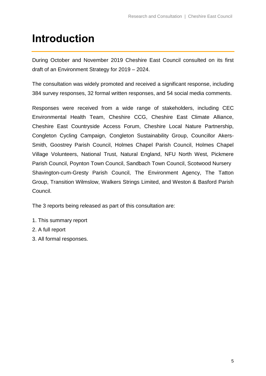### <span id="page-4-0"></span>**Introduction**

During October and November 2019 Cheshire East Council consulted on its first draft of an Environment Strategy for 2019 – 2024.

The consultation was widely promoted and received a significant response, including 384 survey responses, 32 formal written responses, and 54 social media comments.

Responses were received from a wide range of stakeholders, including CEC Environmental Health Team, Cheshire CCG, Cheshire East Climate Alliance, Cheshire East Countryside Access Forum, Cheshire Local Nature Partnership, Congleton Cycling Campaign, Congleton Sustainability Group, Councillor Akers-Smith, Goostrey Parish Council, Holmes Chapel Parish Council, Holmes Chapel Village Volunteers, National Trust, Natural England, NFU North West, Pickmere Parish Council, Poynton Town Council, Sandbach Town Council, Scotwood Nursery Shavington-cum-Gresty Parish Council, The Environment Agency, The Tatton Group, Transition Wilmslow, Walkers Strings Limited, and Weston & Basford Parish Council.

The 3 reports being released as part of this consultation are:

- 1. This summary report
- 2. A full report
- 3. All formal responses.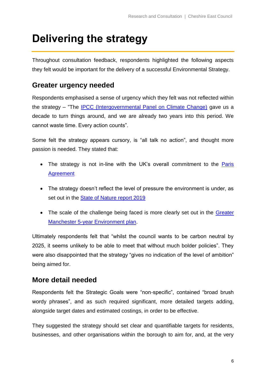### <span id="page-5-0"></span>**Delivering the strategy**

Throughout consultation feedback, respondents highlighted the following aspects they felt would be important for the delivery of a successful Environmental Strategy.

#### **Greater urgency needed**

Respondents emphasised a sense of urgency which they felt was not reflected within the strategy – "The [IPCC \(Intergovernmental Panel on Climate Change\)](https://www.ipcc.ch/) gave us a decade to turn things around, and we are already two years into this period. We cannot waste time. Every action counts".

Some felt the strategy appears cursory, is "all talk no action", and thought more passion is needed. They stated that:

- The strategy is not in-line with the UK's overall commitment to the Paris [Agreement](https://en.wikipedia.org/wiki/Paris_Agreement)
- The strategy doesn't reflect the level of pressure the environment is under, as set out in the [State of Nature report 2019](https://nbn.org.uk/wp-content/uploads/2019/09/State-of-Nature-2019-UK-full-report.pdf)
- The scale of the challenge being faced is more clearly set out in the Greater [Manchester 5-year Environment plan.](https://www.greatermanchester-ca.gov.uk/media/1986/5-year-plan-branded_3.pdf)

Ultimately respondents felt that "whilst the council wants to be carbon neutral by 2025, it seems unlikely to be able to meet that without much bolder policies". They were also disappointed that the strategy "gives no indication of the level of ambition" being aimed for.

#### **More detail needed**

Respondents felt the Strategic Goals were "non-specific", contained "broad brush wordy phrases", and as such required significant, more detailed targets adding, alongside target dates and estimated costings, in order to be effective.

They suggested the strategy should set clear and quantifiable targets for residents, businesses, and other organisations within the borough to aim for, and, at the very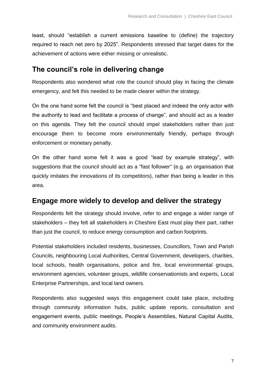least, should "establish a current emissions baseline to (define) the trajectory required to reach net zero by 2025". Respondents stressed that target dates for the achievement of actions were either missing or unrealistic.

#### **The council's role in delivering change**

Respondents also wondered what role the council should play in facing the climate emergency, and felt this needed to be made clearer within the strategy.

On the one hand some felt the council is "best placed and indeed the only actor with the authority to lead and facilitate a process of change", and should act as a leader on this agenda. They felt the council should impel stakeholders rather than just encourage them to become more environmentally friendly, perhaps through enforcement or monetary penalty.

On the other hand some felt it was a good "lead by example strategy", with suggestions that the council should act as a "fast follower" (e.g. an organisation that quickly imitates the innovations of its competitors), rather than being a leader in this area.

#### **Engage more widely to develop and deliver the strategy**

Respondents felt the strategy should involve, refer to and engage a wider range of stakeholders – they felt all stakeholders in Cheshire East must play their part, rather than just the council, to reduce energy consumption and carbon footprints.

Potential stakeholders included residents, businesses, Councillors, Town and Parish Councils, neighbouring Local Authorities, Central Government, developers, charities, local schools, health organisations, police and fire, local environmental groups, environment agencies, volunteer groups, wildlife conservationists and experts, Local Enterprise Partnerships, and local land owners.

Respondents also suggested ways this engagement could take place, including through community information hubs, public update reports, consultation and engagement events, public meetings, People's Assemblies, Natural Capital Audits, and community environment audits.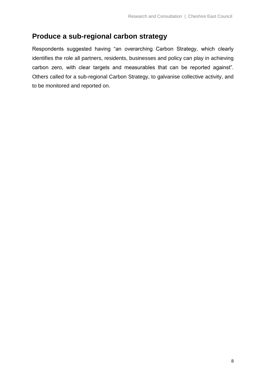#### **Produce a sub-regional carbon strategy**

Respondents suggested having "an overarching Carbon Strategy, which clearly identifies the role all partners, residents, businesses and policy can play in achieving carbon zero, with clear targets and measurables that can be reported against". Others called for a sub-regional Carbon Strategy, to galvanise collective activity, and to be monitored and reported on.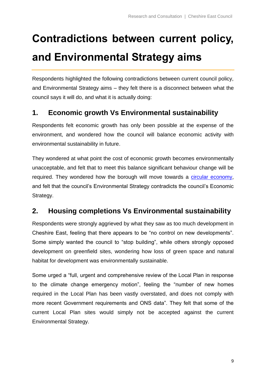## <span id="page-8-0"></span>**Contradictions between current policy, and Environmental Strategy aims**

Respondents highlighted the following contradictions between current council policy, and Environmental Strategy aims – they felt there is a disconnect between what the council says it will do, and what it is actually doing:

#### **1. Economic growth Vs Environmental sustainability**

Respondents felt economic growth has only been possible at the expense of the environment, and wondered how the council will balance economic activity with environmental sustainability in future.

They wondered at what point the cost of economic growth becomes environmentally unacceptable, and felt that to meet this balance significant behaviour change will be required. They wondered how the borough will move towards a [circular economy,](https://en.wikipedia.org/wiki/Circular_economy) and felt that the council's Environmental Strategy contradicts the council's Economic Strategy.

#### **2. Housing completions Vs Environmental sustainability**

Respondents were strongly aggrieved by what they saw as too much development in Cheshire East, feeling that there appears to be "no control on new developments". Some simply wanted the council to "stop building", while others strongly opposed development on greenfield sites, wondering how loss of green space and natural habitat for development was environmentally sustainable.

Some urged a "full, urgent and comprehensive review of the Local Plan in response to the climate change emergency motion", feeling the "number of new homes required in the Local Plan has been vastly overstated, and does not comply with more recent Government requirements and ONS data". They felt that some of the current Local Plan sites would simply not be accepted against the current Environmental Strategy.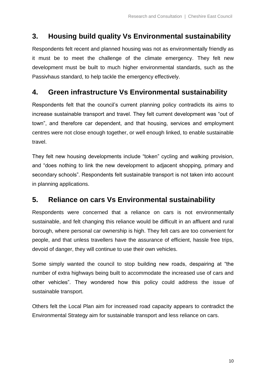#### **3. Housing build quality Vs Environmental sustainability**

Respondents felt recent and planned housing was not as environmentally friendly as it must be to meet the challenge of the climate emergency. They felt new development must be built to much higher environmental standards, such as the Passivhaus standard, to help tackle the emergency effectively.

#### **4. Green infrastructure Vs Environmental sustainability**

Respondents felt that the council's current planning policy contradicts its aims to increase sustainable transport and travel. They felt current development was "out of town", and therefore car dependent, and that housing, services and employment centres were not close enough together, or well enough linked, to enable sustainable travel.

They felt new housing developments include "token" cycling and walking provision, and "does nothing to link the new development to adjacent shopping, primary and secondary schools". Respondents felt sustainable transport is not taken into account in planning applications.

#### **5. Reliance on cars Vs Environmental sustainability**

Respondents were concerned that a reliance on cars is not environmentally sustainable, and felt changing this reliance would be difficult in an affluent and rural borough, where personal car ownership is high. They felt cars are too convenient for people, and that unless travellers have the assurance of efficient, hassle free trips, devoid of danger, they will continue to use their own vehicles.

Some simply wanted the council to stop building new roads, despairing at "the number of extra highways being built to accommodate the increased use of cars and other vehicles". They wondered how this policy could address the issue of sustainable transport.

Others felt the Local Plan aim for increased road capacity appears to contradict the Environmental Strategy aim for sustainable transport and less reliance on cars.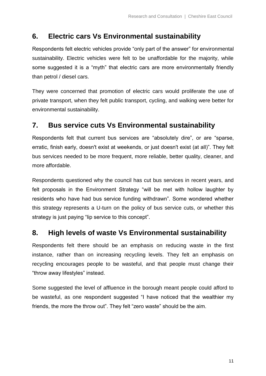#### **6. Electric cars Vs Environmental sustainability**

Respondents felt electric vehicles provide "only part of the answer" for environmental sustainability. Electric vehicles were felt to be unaffordable for the majority, while some suggested it is a "myth" that electric cars are more environmentally friendly than petrol / diesel cars.

They were concerned that promotion of electric cars would proliferate the use of private transport, when they felt public transport, cycling, and walking were better for environmental sustainability.

#### **7. Bus service cuts Vs Environmental sustainability**

Respondents felt that current bus services are "absolutely dire", or are "sparse, erratic, finish early, doesn't exist at weekends, or just doesn't exist (at all)". They felt bus services needed to be more frequent, more reliable, better quality, cleaner, and more affordable.

Respondents questioned why the council has cut bus services in recent years, and felt proposals in the Environment Strategy "will be met with hollow laughter by residents who have had bus service funding withdrawn". Some wondered whether this strategy represents a U-turn on the policy of bus service cuts, or whether this strategy is just paying "lip service to this concept".

#### **8. High levels of waste Vs Environmental sustainability**

Respondents felt there should be an emphasis on reducing waste in the first instance, rather than on increasing recycling levels. They felt an emphasis on recycling encourages people to be wasteful, and that people must change their "throw away lifestyles" instead.

Some suggested the level of affluence in the borough meant people could afford to be wasteful, as one respondent suggested "I have noticed that the wealthier my friends, the more the throw out". They felt "zero waste" should be the aim.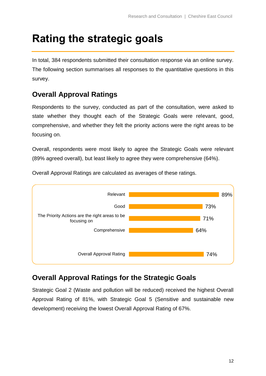### <span id="page-11-0"></span>**Rating the strategic goals**

In total, 384 respondents submitted their consultation response via an online survey. The following section summarises all responses to the quantitative questions in this survey.

#### **Overall Approval Ratings**

Respondents to the survey, conducted as part of the consultation, were asked to state whether they thought each of the Strategic Goals were relevant, good, comprehensive, and whether they felt the priority actions were the right areas to be focusing on.

Overall, respondents were most likely to agree the Strategic Goals were relevant (89% agreed overall), but least likely to agree they were comprehensive (64%).



Overall Approval Ratings are calculated as averages of these ratings.

#### **Overall Approval Ratings for the Strategic Goals**

Strategic Goal 2 (Waste and pollution will be reduced) received the highest Overall Approval Rating of 81%, with Strategic Goal 5 (Sensitive and sustainable new development) receiving the lowest Overall Approval Rating of 67%.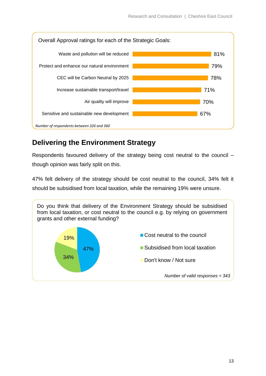

#### **Delivering the Environment Strategy**

Respondents favoured delivery of the strategy being cost neutral to the council – though opinion was fairly split on this.

47% felt delivery of the strategy should be cost neutral to the council, 34% felt it should be subsidised from local taxation, while the remaining 19% were unsure.

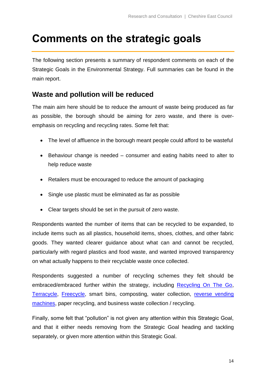### <span id="page-13-0"></span>**Comments on the strategic goals**

The following section presents a summary of respondent comments on each of the Strategic Goals in the Environmental Strategy. Full summaries can be found in the main report.

#### **Waste and pollution will be reduced**

The main aim here should be to reduce the amount of waste being produced as far as possible, the borough should be aiming for zero waste, and there is overemphasis on recycling and recycling rates. Some felt that:

- The level of affluence in the borough meant people could afford to be wasteful
- Behaviour change is needed consumer and eating habits need to alter to help reduce waste
- Retailers must be encouraged to reduce the amount of packaging
- Single use plastic must be eliminated as far as possible
- Clear targets should be set in the pursuit of zero waste.

Respondents wanted the number of items that can be recycled to be expanded, to include items such as all plastics, household items, shoes, clothes, and other fabric goods. They wanted clearer guidance about what can and cannot be recycled, particularly with regard plastics and food waste, and wanted improved transparency on what actually happens to their recyclable waste once collected.

Respondents suggested a number of recycling schemes they felt should be embraced/embraced further within the strategy, including [Recycling On The Go,](https://www.wrap.org.uk/content/recycle-go-england) [Terracycle,](https://www.terracycle.com/en-GB/) [Freecycle,](https://www.freecycle.org/) smart bins, composting, water collection, [reverse vending](http://www.reversevending.co.uk/)  [machines,](http://www.reversevending.co.uk/) paper recycling, and business waste collection / recycling.

Finally, some felt that "pollution" is not given any attention within this Strategic Goal, and that it either needs removing from the Strategic Goal heading and tackling separately, or given more attention within this Strategic Goal.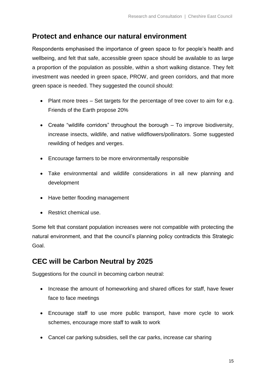#### **Protect and enhance our natural environment**

Respondents emphasised the importance of green space to for people's health and wellbeing, and felt that safe, accessible green space should be available to as large a proportion of the population as possible, within a short walking distance. They felt investment was needed in green space, PROW, and green corridors, and that more green space is needed. They suggested the council should:

- Plant more trees Set targets for the percentage of tree cover to aim for e.g. Friends of the Earth propose 20%
- Create "wildlife corridors" throughout the borough To improve biodiversity, increase insects, wildlife, and native wildflowers/pollinators. Some suggested rewilding of hedges and verges.
- Encourage farmers to be more environmentally responsible
- Take environmental and wildlife considerations in all new planning and development
- Have better flooding management
- Restrict chemical use.

Some felt that constant population increases were not compatible with protecting the natural environment, and that the council's planning policy contradicts this Strategic Goal.

#### **CEC will be Carbon Neutral by 2025**

Suggestions for the council in becoming carbon neutral:

- Increase the amount of homeworking and shared offices for staff, have fewer face to face meetings
- Encourage staff to use more public transport, have more cycle to work schemes, encourage more staff to walk to work
- Cancel car parking subsidies, sell the car parks, increase car sharing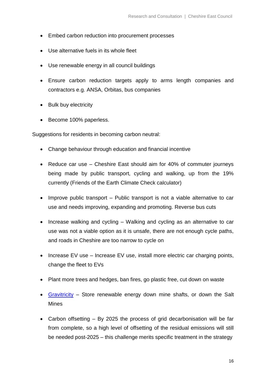- Embed carbon reduction into procurement processes
- Use alternative fuels in its whole fleet
- Use renewable energy in all council buildings
- Ensure carbon reduction targets apply to arms length companies and contractors e.g. ANSA, Orbitas, bus companies
- Bulk buy electricity
- Become 100% paperless.

Suggestions for residents in becoming carbon neutral:

- Change behaviour through education and financial incentive
- Reduce car use Cheshire East should aim for 40% of commuter journeys being made by public transport, cycling and walking, up from the 19% currently (Friends of the Earth Climate Check calculator)
- Improve public transport Public transport is not a viable alternative to car use and needs improving, expanding and promoting. Reverse bus cuts
- Increase walking and cycling Walking and cycling as an alternative to car use was not a viable option as it is unsafe, there are not enough cycle paths, and roads in Cheshire are too narrow to cycle on
- Increase EV use Increase EV use, install more electric car charging points, change the fleet to EVs
- Plant more trees and hedges, ban fires, go plastic free, cut down on waste
- [Gravitricity](https://www.gravitricity.com/) Store renewable energy down mine shafts, or down the Salt Mines
- Carbon offsetting By 2025 the process of grid decarbonisation will be far from complete, so a high level of offsetting of the residual emissions will still be needed post-2025 – this challenge merits specific treatment in the strategy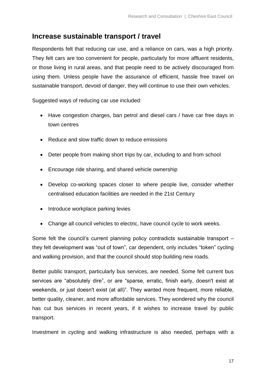#### **Increase sustainable transport / travel**

Respondents felt that reducing car use, and a reliance on cars, was a high priority. They felt cars are too convenient for people, particularly for more affluent residents, or those living in rural areas, and that people need to be actively discouraged from using them. Unless people have the assurance of efficient, hassle free travel on sustainable transport, devoid of danger, they will continue to use their own vehicles.

Suggested ways of reducing car use included:

- Have congestion charges, ban petrol and diesel cars / have car free days in town centres
- Reduce and slow traffic down to reduce emissions
- Deter people from making short trips by car, including to and from school
- Encourage ride sharing, and shared vehicle ownership
- Develop co-working spaces closer to where people live, consider whether centralised education facilities are needed in the 21st Century
- Introduce workplace parking levies
- Change all council vehicles to electric, have council cycle to work weeks.

Some felt the council's current planning policy contradicts sustainable transport – they felt development was "out of town", car dependent, only includes "token" cycling and walking provision, and that the council should stop building new roads.

Better public transport, particularly bus services, are needed. Some felt current bus services are "absolutely dire", or are "sparse, erratic, finish early, doesn't exist at weekends, or just doesn't exist (at all)". They wanted more frequent, more reliable, better quality, cleaner, and more affordable services. They wondered why the council has cut bus services in recent years, if it wishes to increase travel by public transport.

Investment in cycling and walking infrastructure is also needed, perhaps with a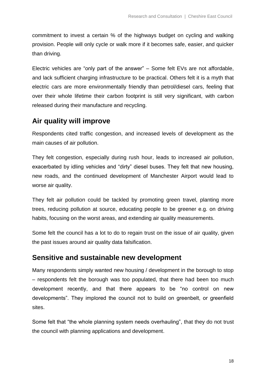commitment to invest a certain % of the highways budget on cycling and walking provision. People will only cycle or walk more if it becomes safe, easier, and quicker than driving.

Electric vehicles are "only part of the answer" – Some felt EVs are not affordable, and lack sufficient charging infrastructure to be practical. Others felt it is a myth that electric cars are more environmentally friendly than petrol/diesel cars, feeling that over their whole lifetime their carbon footprint is still very significant, with carbon released during their manufacture and recycling.

#### **Air quality will improve**

Respondents cited traffic congestion, and increased levels of development as the main causes of air pollution.

They felt congestion, especially during rush hour, leads to increased air pollution, exacerbated by idling vehicles and "dirty" diesel buses. They felt that new housing, new roads, and the continued development of Manchester Airport would lead to worse air quality.

They felt air pollution could be tackled by promoting green travel, planting more trees, reducing pollution at source, educating people to be greener e.g. on driving habits, focusing on the worst areas, and extending air quality measurements.

Some felt the council has a lot to do to regain trust on the issue of air quality, given the past issues around air quality data falsification.

#### **Sensitive and sustainable new development**

Many respondents simply wanted new housing / development in the borough to stop – respondents felt the borough was too populated, that there had been too much development recently, and that there appears to be "no control on new developments". They implored the council not to build on greenbelt, or greenfield sites.

Some felt that "the whole planning system needs overhauling", that they do not trust the council with planning applications and development.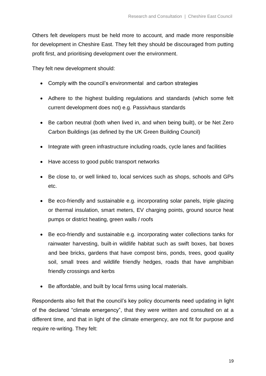Others felt developers must be held more to account, and made more responsible for development in Cheshire East. They felt they should be discouraged from putting profit first, and prioritising development over the environment.

They felt new development should:

- Comply with the council's environmental and carbon strategies
- Adhere to the highest building regulations and standards (which some felt current development does not) e.g. Passivhaus standards
- Be carbon neutral (both when lived in, and when being built), or be Net Zero Carbon Buildings (as defined by the UK Green Building Council)
- Integrate with green infrastructure including roads, cycle lanes and facilities
- Have access to good public transport networks
- Be close to, or well linked to, local services such as shops, schools and GPs etc.
- Be eco-friendly and sustainable e.g. incorporating solar panels, triple glazing or thermal insulation, smart meters, EV charging points, ground source heat pumps or district heating, green walls / roofs
- Be eco-friendly and sustainable e.g. incorporating water collections tanks for rainwater harvesting, built-in wildlife habitat such as swift boxes, bat boxes and bee bricks, gardens that have compost bins, ponds, trees, good quality soil, small trees and wildlife friendly hedges, roads that have amphibian friendly crossings and kerbs
- Be affordable, and built by local firms using local materials.

Respondents also felt that the council's key policy documents need updating in light of the declared "climate emergency", that they were written and consulted on at a different time, and that in light of the climate emergency, are not fit for purpose and require re-writing. They felt: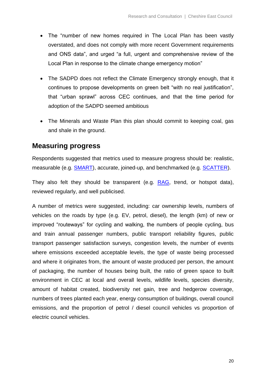- The "number of new homes required in The Local Plan has been vastly overstated, and does not comply with more recent Government requirements and ONS data", and urged "a full, urgent and comprehensive review of the Local Plan in response to the climate change emergency motion"
- The SADPD does not reflect the Climate Emergency strongly enough, that it continues to propose developments on green belt "with no real justification", that "urban sprawl" across CEC continues, and that the time period for adoption of the SADPD seemed ambitious
- The Minerals and Waste Plan this plan should commit to keeping coal, gas and shale in the ground.

#### **Measuring progress**

Respondents suggested that metrics used to measure progress should be: realistic, measurable (e.g. **SMART**), accurate, joined-up, and benchmarked (e.g. **SCATTER**).

They also felt they should be transparent (e.g. [RAG,](https://en.wikipedia.org/wiki/Traffic_light_rating_system) trend, or hotspot data), reviewed regularly, and well publicised.

A number of metrics were suggested, including: car ownership levels, numbers of vehicles on the roads by type (e.g. EV, petrol, diesel), the length (km) of new or improved "routeways" for cycling and walking, the numbers of people cycling, bus and train annual passenger numbers, public transport reliability figures, public transport passenger satisfaction surveys, congestion levels, the number of events where emissions exceeded acceptable levels, the type of waste being processed and where it originates from, the amount of waste produced per person, the amount of packaging, the number of houses being built, the ratio of green space to built environment in CEC at local and overall levels, wildlife levels, species diversity, amount of habitat created, biodiversity net gain, tree and hedgerow coverage, numbers of trees planted each year, energy consumption of buildings, overall council emissions, and the proportion of petrol / diesel council vehicles vs proportion of electric council vehicles.